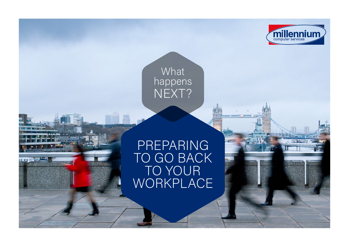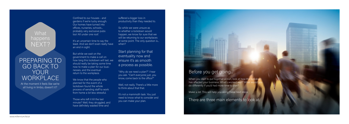## **What** happens NEXT?

## PREPARING TO GO BACK TO YOUR **WORKPLACE**

At the moment it feels like we're all living in limbo, doesn't it?

It's an uncertain time to say the least. And we don't even really have an end in sight.

Confined to our houses - and gardens if we're lucky enough. Our homes have turned into offices, nurseries, schools... probably very exclusive pubs too! All under one roof.

We know that the people who planned for the event of a lockdown found the whole process of sending staff to work from home a lot less stressful.

suffered a bigger loss in productivity than they needed to.

But while we wait on the government to make a call on how long this lockdown will last, we should really be taking some time now to make a plan for our businesses, and the eventual return to the workplace.

Those who left it till the last minute? Well, they struggled, and have definitely wasted time and

When you start to put together a plan, look at how the lockdow has affected your business. What's worked well? What do differently if you'd had more time to plan?

So while we were unsure as to whether a lockdown would happen, we know for sure that we will be returning to our workplaces at some point. The only question is... when?

Start planning for that eventuality now and ensure it's as smooth a process as possible.

"Why do we need a plan?" I hear vou ask. "Can't everyone just, you know, come back to the office?"

Well, not really. There's a little more to think about that that.

It's not a mammoth task. You just need to know what to consider and you can make your plan.

## Before you get going...

Make a list. This will help you along these next steps.

------. . . . . . ----------

There are three main elements to look at.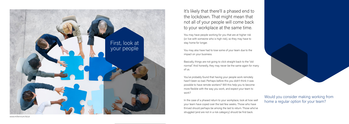It's likely that there'll a phased end to the lockdown. That might mean that not all of your people will come back to your workplace at the same time.

You may have people working for you that are at higher risk (or live with someone who is high risk), so they may have to stay home for longer.

You may also have had to lose some of your team due to the impact on your business.

Basically, things are not going to click straight back to the "old normal". And honestly, they may never be the same again for many of us.

You've probably found that having your people work remotely hasn't been so bad. Perhaps before this you didn't think it was possible to have remote workers? Will this help you to become more flexible with the way you work, and expect your team to work?

In the case of a phased return to your workplace, look at how well your team have coped over the last few weeks. Those who have thrived should perhaps be among the last to return. Those who've struggled (and are not in a risk category) should be first back.





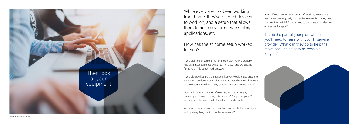

While everyone has been working from home, they've needed devices to work on, and a setup that allows them to access your network, files, applications, etc.

How has the at home setup worked for you?

If you planned ahead of time for a lockdown, you've probably had an almost seamless switch to home working. At least as far as your IT is concerned, anyway.

Will your IT service provider need to spend a lot of time with you setting everything back up in the workplace?

If you didn't, what are the changes that you would make once the restrictions are loosened? What changes would you need to make to allow home working for any of your team on a regular basis?

How will you manage the safekeeping and return of any company equipment during this process? Did you or your IT service provider keep a list of what was handed out?

Again, if you plan to keep some staff working from home permanently or regularly, do they have everything they need to make the switch? Do you need to purchase extra devices or licenses for apps?

This is the part of your plan where you'll need to liaise with your IT service provider. What can they do to help the move back be as easy as possible for you?

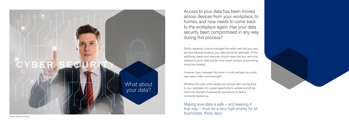

Access to your data has been moved across devices from your workplace, to homes, and now needs to come back to the workplace again. Has your data security been compromised in any way during this process?

Strictly speaking, if you've managed the switch well and your peo ple have followed protocol, your data should be watertight. All the additional checks and measures should mean that your anti-virus software is up-to-date and the most recent versions of everything should be installed.

However, if you managed the move in a rush, perhaps you could have been a little more thorough?

Whatever the case, when people and devices start coming back to your workplace, it's a great opportunity to update everything, check the strength of passwords, and ensure all data is constantly backed up.

Making sure data is safe – and keeping it that way – must be a very high priority for all businesses, these days.

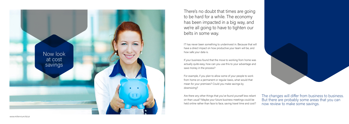

There's no doubt that times are going to be hard for a while. The economy has been impacted in a big way, and we're all going to have to tighten our belts in some way.

IT has never been something to underinvest in. Because that will have a direct impact on how productive your team will be, and how safe your data is.

If your business found that the move to working from home was actually quite easy, how can you use this to your advantage and save money in the process?

For example, if you plan to allow some of your people to work from home on a permanent or regular basis, what would that mean for your premises? Could you make savings by downsizing?

Are there any other things that you've found yourself less reliant on than usual? Maybe your future business meetings could be held online rather than face to face, saving travel time and cost?

The changes will differ from business to business. But there are probably some areas that you can now review to make some savings.